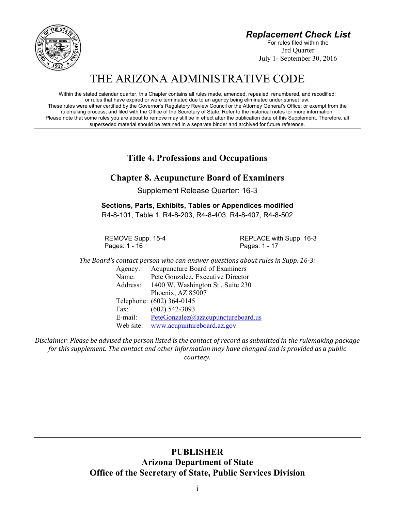*Replacement Check List*

For rules filed within the 3rd Quarter July 1- September 30, 2016



Within the stated calendar quarter, this Chapter contains all rules made, amended, repealed, renumbered, and recodified; or rules that have expired or were terminated due to an agency being eliminated under sunset law. These rules were either certified by the Governor's Regulatory Review Council or the Attorney General's Office; or exempt from the rulemaking process, and filed with the Office of the Secretary of State. Refer to the historical notes for more information. Please note that some rules you are about to remove may still be in effect after the publication date of this Supplement. Therefore, all superseded material should be retained in a separate binder and archived for future reference.

**Title 4. Professions and Occupations**

# **Chapter 8. Acupuncture Board of Examiners**

Supplement Release Quarter: 16-3

**Sections, Parts, Exhibits, Tables or Appendices modified** R4-8-101, Table 1, R4-8-203, R4-8-403, R4-8-407, R4-8-502

Pages: 1 - 16 **Pages: 1 - 17** 

REMOVE Supp. 15-4 REPLACE with Supp. 16-3

*The Board's contact person who can answer questions about rules in Supp. 16‐3:* Agency: Acupuncture Board of Examiners Name: Pete Gonzalez, Executive Director Address: 1400 W. Washington St., Suite 230 Phoenix, AZ 85007 Telephone: (602) 364-0145 Fax: (602) 542-3093

E-mail: PeteGonzalez@azacupunctureboard.us

Web site: www.acupuntureboard.az.gov

Disclaimer: Please be advised the person listed is the contact of record as submitted in the rulemaking package *for this supplement. The contact and other information may have changed and is provided as a public courtesy.*

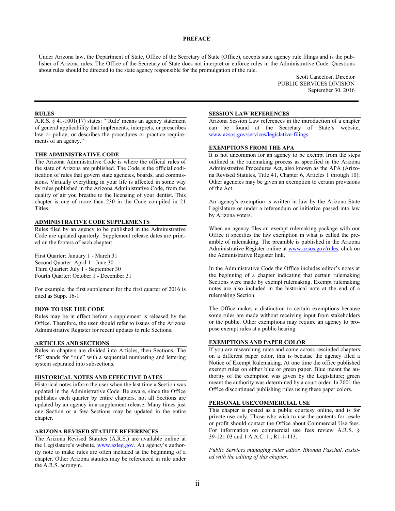#### **PREFACE**

Under Arizona law, the Department of State, Office of the Secretary of State (Office), accepts state agency rule filings and is the publisher of Arizona rules. The Office of the Secretary of State does not interpret or enforce rules in the Administrative Code. Questions about rules should be directed to the state agency responsible for the promulgation of the rule.

> Scott Cancelosi, Director PUBLIC SERVICES DIVISION September 30, 2016

#### **RULES**

A.R.S. § 41-1001(17) states: "'Rule' means an agency statement of general applicability that implements, interprets, or prescribes law or policy, or describes the procedures or practice requirements of an agency."

#### **THE ADMINISTRATIVE CODE**

The Arizona Administrative Code is where the official rules of the state of Arizona are published. The Code is the official codification of rules that govern state agencies, boards, and commissions. Virtually everything in your life is affected in some way by rules published in the Arizona Administrative Code, from the quality of air you breathe to the licensing of your dentist. This chapter is one of more than 230 in the Code compiled in 21 Titles.

### **ADMINISTRATIVE CODE SUPPLEMENTS**

Rules filed by an agency to be published in the Administrative Code are updated quarterly. Supplement release dates are printed on the footers of each chapter:

First Quarter: January 1 - March 31 Second Quarter: April 1 - June 30 Third Quarter: July 1 - September 30 Fourth Quarter: October 1 - December 31

For example, the first supplement for the first quarter of 2016 is cited as Supp. 16-1.

#### **HOW TO USE THE CODE**

Rules may be in effect before a supplement is released by the Office. Therefore, the user should refer to issues of the Arizona Administrative Register for recent updates to rule Sections.

#### **ARTICLES AND SECTIONS**

Rules in chapters are divided into Articles, then Sections. The "R" stands for "rule" with a sequential numbering and lettering system separated into subsections.

#### **HISTORICAL NOTES AND EFFECTIVE DATES**

Historical notes inform the user when the last time a Section was updated in the Administrative Code. Be aware, since the Office publishes each quarter by entire chapters, not all Sections are updated by an agency in a supplement release. Many times just one Section or a few Sections may be updated in the entire chapter.

#### **ARIZONA REVISED STATUTE REFERENCES**

The Arizona Revised Statutes (A.R.S.) are available online at the Legislature's website, www.azleg.gov. An agency's authority note to make rules are often included at the beginning of a chapter. Other Arizona statutes may be referenced in rule under the A.R.S. acronym.

#### **SESSION LAW REFERENCES**

Arizona Session Law references in the introduction of a chapter can be found at the Secretary of State's website, www.azsos.gov/services/legislative-filings.

#### **EXEMPTIONS FROM THE APA**

It is not uncommon for an agency to be exempt from the steps outlined in the rulemaking process as specified in the Arizona Administrative Procedures Act, also known as the APA (Arizona Revised Statutes, Title 41, Chapter 6, Articles 1 through 10). Other agencies may be given an exemption to certain provisions of the Act.

An agency's exemption is written in law by the Arizona State Legislature or under a referendum or initiative passed into law by Arizona voters.

When an agency files an exempt rulemaking package with our Office it specifies the law exemption in what is called the preamble of rulemaking. The preamble is published in the Arizona Administrative Register online at www.azsos.gov/rules, click on the Administrative Register link.

In the Administrative Code the Office includes editor's notes at the beginning of a chapter indicating that certain rulemaking Sections were made by exempt rulemaking. Exempt rulemaking notes are also included in the historical note at the end of a rulemaking Section.

The Office makes a distinction to certain exemptions because some rules are made without receiving input from stakeholders or the public. Other exemptions may require an agency to propose exempt rules at a public hearing.

### **EXEMPTIONS AND PAPER COLOR**

If you are researching rules and come across rescinded chapters on a different paper color, this is because the agency filed a Notice of Exempt Rulemaking. At one time the office published exempt rules on either blue or green paper. Blue meant the authority of the exemption was given by the Legislature; green meant the authority was determined by a court order. In 2001 the Office discontinued publishing rules using these paper colors.

#### **PERSONAL USE/COMMERCIAL USE**

This chapter is posted as a public courtesy online, and is for private use only. Those who wish to use the contents for resale or profit should contact the Office about Commercial Use fees. For information on commercial use fees review A.R.S. § 39-121.03 and 1 A.A.C. 1., R1-1-113.

*Public Services managing rules editor, Rhonda Paschal, assisted with the editing of this chapter.*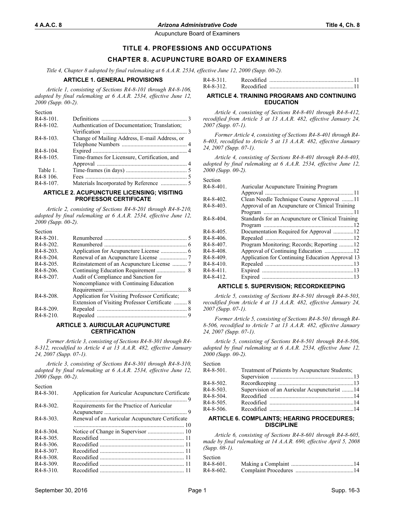Section

Acupuncture Board of Examiners

## **TITLE 4. PROFESSIONS AND OCCUPATIONS**

## **CHAPTER 8. ACUPUNCTURE BOARD OF EXAMINERS**

*Title 4, Chapter 8 adopted by final rulemaking at 6 A.A.R. 2534, effective June 12, 2000 (Supp. 00-2).*

#### **ARTICLE 1. GENERAL PROVISIONS**

*Article 1, consisting of Sections R4-8-101 through R4-8-106, adopted by final rulemaking at 6 A.A.R. 2534, effective June 12, 2000 (Supp. 00-2).*

| Section                |                                               |  |
|------------------------|-----------------------------------------------|--|
| $R4 - 8 - 101$ .       |                                               |  |
| $R4 - 8 - 102$ .       | Authentication of Documentation; Translation; |  |
|                        |                                               |  |
| $R4 - 8 - 103$ .       | Change of Mailing Address, E-mail Address, or |  |
|                        |                                               |  |
| $R4 - 8 - 104$ .       |                                               |  |
| $R4 - 8 - 105$ .       | Time-frames for Licensure, Certification, and |  |
|                        |                                               |  |
| Table 1.               |                                               |  |
| R <sub>4</sub> -8 106. |                                               |  |
| R <sub>4</sub> -8-107. |                                               |  |

#### **ARTICLE 2. ACUPUNCTURE LICENSING; VISITING PROFESSOR CERTIFICATE**

*Article 2, consisting of Sections R4-8-201 through R4-8-210, adopted by final rulemaking at 6 A.A.R. 2534, effective June 12, 2000 (Supp. 00-2).*

| <b>DECIMI</b>          |                                                 |  |
|------------------------|-------------------------------------------------|--|
| $R4 - 8 - 201$ .       |                                                 |  |
| $R4 - 8 - 202$         |                                                 |  |
| $R4 - 8 - 203$ .       |                                                 |  |
| $R4 - 8 - 204$         |                                                 |  |
| R <sub>4</sub> -8-205. |                                                 |  |
| R <sub>4</sub> -8-206. |                                                 |  |
| R <sub>4</sub> -8-207. | Audit of Compliance and Sanction for            |  |
|                        | Noncompliance with Continuing Education         |  |
|                        |                                                 |  |
| R4-8-208.              | Application for Visiting Professor Certificate; |  |
|                        | Extension of Visiting Professor Certificate  8  |  |
| R4-8-209.              |                                                 |  |
| $R4 - 8 - 210$ .       |                                                 |  |
|                        |                                                 |  |

#### **ARTICLE 3. AURICULAR ACUPUNCTURE CERTIFICATION**

*Former Article 3, consisting of Sections R4-8-301 through R4- 8-312, recodified to Article 4 at 13 A.A.R. 482, effective January 24, 2007 (Supp. 07-1).*

*Article 3, consisting of Sections R4-8-301 through R4-8-310, adopted by final rulemaking at 6 A.A.R. 2534, effective June 12, 2000 (Supp. 00-2).*

| Section          |                                                   |
|------------------|---------------------------------------------------|
| $R4 - 8 - 301$ . | Application for Auricular Acupuncture Certificate |
|                  |                                                   |
| $R4 - 8 - 302$ . | Requirements for the Practice of Auricular        |
|                  |                                                   |
| $R4 - 8 - 303$   | Renewal of an Auricular Acupuncture Certificate   |
|                  |                                                   |
| $R4 - 8 - 304$   |                                                   |
| $R4 - 8 - 305$ . |                                                   |
| $R4 - 8 - 306$   |                                                   |
| $R4 - 8 - 307$   |                                                   |
| R4-8-308.        |                                                   |
| $R4 - 8 - 309$   |                                                   |
| $R4 - 8 - 310$ . |                                                   |
|                  |                                                   |

| R4-8-311. |            |  |
|-----------|------------|--|
| R4-8-312. | Recodified |  |

#### **ARTICLE 4. TRAINING PROGRAMS AND CONTINUING EDUCATION**

*Article 4, consisting of Sections R4-8-401 through R4-8-412, recodified from Article 3 at 13 A.A.R. 482, effective January 24, 2007 (Supp. 07-1).*

*Former Article 4, consisting of Sections R4-8-401 through R4- 8-403, recodified to Article 5 at 13 A.A.R. 482, effective January 24, 2007 (Supp. 07-1).*

*Article 4, consisting of Sections R4-8-401 through R4-8-403, adopted by final rulemaking at 6 A.A.R. 2534, effective June 12, 2000 (Supp. 00-2).*

Section

| R4-8-401. | Auricular Acupuncture Training Program            |  |
|-----------|---------------------------------------------------|--|
|           |                                                   |  |
| R4-8-402. | Clean Needle Technique Course Approval 11         |  |
| R4-8-403. | Approval of an Acupuncture or Clinical Training   |  |
|           |                                                   |  |
| R4-8-404. | Standards for an Acupuncture or Clinical Training |  |
|           |                                                   |  |
| R4-8-405. | Documentation Required for Approval 12            |  |
| R4-8-406. |                                                   |  |
| R4-8-407. | Program Monitoring; Records; Reporting 12         |  |
| R4-8-408. |                                                   |  |
| R4-8-409. | Application for Continuing Education Approval 13  |  |
| R4-8-410. |                                                   |  |
| R4-8-411. |                                                   |  |
| R4-8-412. |                                                   |  |
|           |                                                   |  |

### **ARTICLE 5. SUPERVISION; RECORDKEEPING**

*Article 5, consisting of Sections R4-8-501 through R4-8-503, recodified from Article 4 at 13 A.A.R. 482, effective January 24, 2007 (Supp. 07-1).*

*Former Article 5, consisting of Sections R4-8-501 through R4- 8-506, recodified to Article 7 at 13 A.A.R. 482, effective January 24, 2007 (Supp. 07-1).*

*Article 5, consisting of Sections R4-8-501 through R4-8-506, adopted by final rulemaking at 6 A.A.R. 2534, effective June 12, 2000 (Supp. 00-2).*

| Section |  |
|---------|--|
|         |  |

Section

| R <sub>4</sub> -8-502.                                                 | Treatment of Patients by Acupuncture Students; |  |  |  |
|------------------------------------------------------------------------|------------------------------------------------|--|--|--|
|                                                                        |                                                |  |  |  |
|                                                                        |                                                |  |  |  |
| Supervision of an Auricular Acupuncturist 14<br>R <sub>4</sub> -8-503. |                                                |  |  |  |
| R4-8-504.                                                              |                                                |  |  |  |
| $R4 - 8 - 505$ .                                                       |                                                |  |  |  |
| R4-8-506.                                                              |                                                |  |  |  |

#### **ARTICLE 6. COMPLAINTS; HEARING PROCEDURES; DISCIPLINE**

*Article 6, consisting of Sections R4-8-601 through R4-8-605, made by final rulemaking at 14 A.A.R. 690, effective April 5, 2008 (Supp. 08-1).*

| Section          |  |
|------------------|--|
| $R4 - 8 - 601$ . |  |
| R4-8-602.        |  |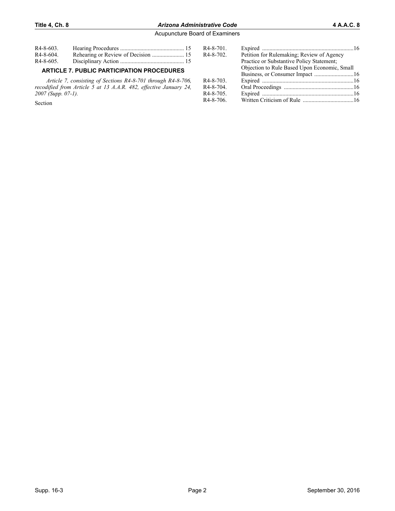## **Title 4, Ch. 8** *Arizona Administrative Code* **4 A.A.C. 8**

Acupuncture Board of Examiners

| $R4 - 8 - 603$   |  |
|------------------|--|
| R4-8-604.        |  |
| $R4 - 8 - 605$ . |  |

## **ARTICLE 7. PUBLIC PARTICIPATION PROCEDURES**

*Article 7, consisting of Sections R4-8-701 through R4-8-706, recodified from Article 5 at 13 A.A.R. 482, effective January 24, 2007 (Supp. 07-1).*

Section

| R4-8-701. |                                              |  |
|-----------|----------------------------------------------|--|
| R4-8-702. | Petition for Rulemaking; Review of Agency    |  |
|           | Practice or Substantive Policy Statement;    |  |
|           | Objection to Rule Based Upon Economic, Small |  |
|           |                                              |  |
| R4-8-703. |                                              |  |
| R4-8-704. |                                              |  |
| R4-8-705. |                                              |  |
| R4-8-706. |                                              |  |
|           |                                              |  |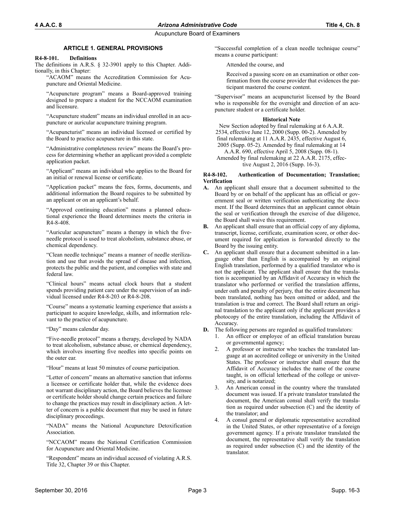## **ARTICLE 1. GENERAL PROVISIONS**

### **R4-8-101. Definitions**

The definitions in A.R.S. § 32-3901 apply to this Chapter. Additionally, in this Chapter:

"ACAOM" means the Accreditation Commission for Acupuncture and Oriental Medicine.

"Acupuncture program" means a Board-approved training designed to prepare a student for the NCCAOM examination and licensure.

"Acupuncture student" means an individual enrolled in an acupuncture or auricular acupuncture training program.

"Acupuncturist" means an individual licensed or certified by the Board to practice acupuncture in this state.

"Administrative completeness review" means the Board's process for determining whether an applicant provided a complete application packet.

"Applicant" means an individual who applies to the Board for an initial or renewal license or certificate.

"Application packet" means the fees, forms, documents, and additional information the Board requires to be submitted by an applicant or on an applicant's behalf.

"Approved continuing education" means a planned educational experience the Board determines meets the criteria in R4-8-408.

"Auricular acupuncture" means a therapy in which the fiveneedle protocol is used to treat alcoholism, substance abuse, or chemical dependency.

"Clean needle technique" means a manner of needle sterilization and use that avoids the spread of disease and infection, protects the public and the patient, and complies with state and federal law.

"Clinical hours" means actual clock hours that a student spends providing patient care under the supervision of an individual licensed under R4-8-203 or R4-8-208.

"Course" means a systematic learning experience that assists a participant to acquire knowledge, skills, and information relevant to the practice of acupuncture.

"Day" means calendar day.

"Five-needle protocol" means a therapy, developed by NADA to treat alcoholism, substance abuse, or chemical dependency, which involves inserting five needles into specific points on the outer ear.

"Hour" means at least 50 minutes of course participation.

"Letter of concern" means an alternative sanction that informs a licensee or certificate holder that, while the evidence does not warrant disciplinary action, the Board believes the licensee or certificate holder should change certain practices and failure to change the practices may result in disciplinary action. A letter of concern is a public document that may be used in future disciplinary proceedings.

"NADA" means the National Acupuncture Detoxification Association.

"NCCAOM" means the National Certification Commission for Acupuncture and Oriental Medicine.

"Respondent" means an individual accused of violating A.R.S. Title 32, Chapter 39 or this Chapter.

"Successful completion of a clean needle technique course" means a course participant:

Attended the course, and

Received a passing score on an examination or other confirmation from the course provider that evidences the participant mastered the course content.

"Supervisor" means an acupuncturist licensed by the Board who is responsible for the oversight and direction of an acupuncture student or a certificate holder.

## **Historical Note**

New Section adopted by final rulemaking at 6 A.A.R. 2534, effective June 12, 2000 (Supp. 00-2). Amended by final rulemaking at 11 A.A.R. 2435, effective August 6, 2005 (Supp. 05-2). Amended by final rulemaking at 14 A.A.R. 690, effective April 5, 2008 (Supp. 08-1). Amended by final rulemaking at 22 A.A.R. 2175, effec-

### **R4-8-102. Authentication of Documentation; Translation; Verification**

tive August 2, 2016 (Supp. 16-3).

- **A.** An applicant shall ensure that a document submitted to the Board by or on behalf of the applicant has an official or government seal or written verification authenticating the document. If the Board determines that an applicant cannot obtain the seal or verification through the exercise of due diligence, the Board shall waive this requirement.
- **B.** An applicant shall ensure that an official copy of any diploma, transcript, license, certificate, examination score, or other document required for application is forwarded directly to the Board by the issuing entity.
- **C.** An applicant shall ensure that a document submitted in a language other than English is accompanied by an original English translation, performed by a qualified translator who is not the applicant. The applicant shall ensure that the translation is accompanied by an Affidavit of Accuracy in which the translator who performed or verified the translation affirms, under oath and penalty of perjury, that the entire document has been translated, nothing has been omitted or added, and the translation is true and correct. The Board shall return an original translation to the applicant only if the applicant provides a photocopy of the entire translation, including the Affidavit of Accuracy.
- **D.** The following persons are regarded as qualified translators:
	- 1. An officer or employee of an official translation bureau or governmental agency;
	- 2. A professor or instructor who teaches the translated language at an accredited college or university in the United States. The professor or instructor shall ensure that the Affidavit of Accuracy includes the name of the course taught, is on official letterhead of the college or university, and is notarized;
	- 3. An American consul in the country where the translated document was issued. If a private translator translated the document, the American consul shall verify the translation as required under subsection (C) and the identity of the translator; and
	- 4. A consul general or diplomatic representative accredited in the United States, or other representative of a foreign government agency. If a private translator translated the document, the representative shall verify the translation as required under subsection (C) and the identity of the translator.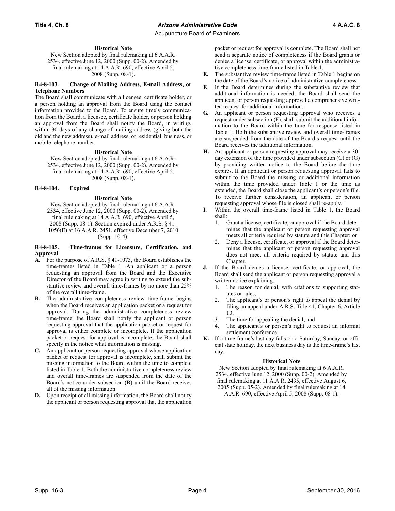### **Historical Note**

New Section adopted by final rulemaking at 6 A.A.R. 2534, effective June 12, 2000 (Supp. 00-2). Amended by final rulemaking at 14 A.A.R. 690, effective April 5, 2008 (Supp. 08-1).

#### **R4-8-103. Change of Mailing Address, E-mail Address, or Telephone Numbers**

The Board shall communicate with a licensee, certificate holder, or a person holding an approval from the Board using the contact information provided to the Board. To ensure timely communication from the Board, a licensee, certificate holder, or person holding an approval from the Board shall notify the Board, in writing, within 30 days of any change of mailing address (giving both the old and the new address), e-mail address, or residential, business, or mobile telephone number.

## **Historical Note**

New Section adopted by final rulemaking at 6 A.A.R. 2534, effective June 12, 2000 (Supp. 00-2). Amended by final rulemaking at 14 A.A.R. 690, effective April 5, 2008 (Supp. 08-1).

### **R4-8-104. Expired**

### **Historical Note**

New Section adopted by final rulemaking at 6 A.A.R. 2534, effective June 12, 2000 (Supp. 00-2). Amended by final rulemaking at 14 A.A.R. 690, effective April 5, 2008 (Supp. 08-1). Section expired under A.R.S. § 41- 1056(E) at 16 A.A.R. 2451, effective December 7, 2010 (Supp. 10-4).

#### **R4-8-105. Time-frames for Licensure, Certification, and Approval**

- **A.** For the purpose of A.R.S. § 41-1073, the Board establishes the time-frames listed in Table 1. An applicant or a person requesting an approval from the Board and the Executive Director of the Board may agree in writing to extend the substantive review and overall time-frames by no more than 25% of the overall time-frame.
- **B.** The administrative completeness review time-frame begins when the Board receives an application packet or a request for approval. During the administrative completeness review time-frame, the Board shall notify the applicant or person requesting approval that the application packet or request for approval is either complete or incomplete. If the application packet or request for approval is incomplete, the Board shall specify in the notice what information is missing.
- **C.** An applicant or person requesting approval whose application packet or request for approval is incomplete, shall submit the missing information to the Board within the time to complete listed in Table 1. Both the administrative completeness review and overall time-frames are suspended from the date of the Board's notice under subsection (B) until the Board receives all of the missing information.
- **D.** Upon receipt of all missing information, the Board shall notify the applicant or person requesting approval that the application

packet or request for approval is complete. The Board shall not send a separate notice of completeness if the Board grants or denies a license, certificate, or approval within the administrative completeness time-frame listed in Table 1.

- **E.** The substantive review time-frame listed in Table 1 begins on the date of the Board's notice of administrative completeness.
- **F.** If the Board determines during the substantive review that additional information is needed, the Board shall send the applicant or person requesting approval a comprehensive written request for additional information.
- **G.** An applicant or person requesting approval who receives a request under subsection (F), shall submit the additional information to the Board within the time for response listed in Table 1. Both the substantive review and overall time-frames are suspended from the date of the Board's request until the Board receives the additional information.
- **H.** An applicant or person requesting approval may receive a 30 day extension of the time provided under subsection  $(C)$  or  $(G)$ by providing written notice to the Board before the time expires. If an applicant or person requesting approval fails to submit to the Board the missing or additional information within the time provided under Table 1 or the time as extended, the Board shall close the applicant's or person's file. To receive further consideration, an applicant or person requesting approval whose file is closed shall re-apply.
- **I.** Within the overall time-frame listed in Table 1, the Board shall:
	- 1. Grant a license, certificate, or approval if the Board determines that the applicant or person requesting approval meets all criteria required by statute and this Chapter; or
	- 2. Deny a license, certificate, or approval if the Board determines that the applicant or person requesting approval does not meet all criteria required by statute and this Chapter.
- **J.** If the Board denies a license, certificate, or approval, the Board shall send the applicant or person requesting approval a written notice explaining:
	- 1. The reason for denial, with citations to supporting statutes or rules;
	- 2. The applicant's or person's right to appeal the denial by filing an appeal under A.R.S. Title 41, Chapter 6, Article 10;
	- 3. The time for appealing the denial; and
	- 4. The applicant's or person's right to request an informal settlement conference.
- **K.** If a time-frame's last day falls on a Saturday, Sunday, or official state holiday, the next business day is the time-frame's last day.

## **Historical Note**

New Section adopted by final rulemaking at 6 A.A.R. 2534, effective June 12, 2000 (Supp. 00-2). Amended by final rulemaking at 11 A.A.R. 2435, effective August 6, 2005 (Supp. 05-2). Amended by final rulemaking at 14 A.A.R. 690, effective April 5, 2008 (Supp. 08-1).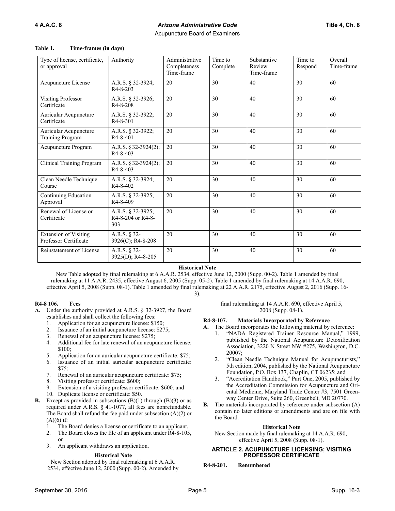| Time-frames (in days) |
|-----------------------|
|                       |

| Type of license, certificate,<br>or approval          | Authority                                     | Administrative<br>Completeness<br>Time-frame | Time to<br>Complete | Substantive<br>Review<br>Time-frame | Time to<br>Respond | Overall<br>Time-frame |
|-------------------------------------------------------|-----------------------------------------------|----------------------------------------------|---------------------|-------------------------------------|--------------------|-----------------------|
| Acupuncture License                                   | A.R.S. § 32-3924;<br>$R4 - 8 - 203$           | 20                                           | 30                  | 40                                  | 30                 | 60                    |
| <b>Visiting Professor</b><br>Certificate              | A.R.S. § 32-3926;<br>R <sub>4</sub> -8-208    | 20                                           | 30                  | 40                                  | 30                 | 60                    |
| Auricular Acupuncture<br>Certificate                  | A.R.S. § 32-3922;<br>$R4 - 8 - 301$           | 20                                           | 30                  | 40                                  | 30                 | 60                    |
| Auricular Acupuncture<br><b>Training Program</b>      | A.R.S. § 32-3922;<br>R <sub>4</sub> -8-401    | 20                                           | 30                  | 40                                  | 30                 | 60                    |
| Acupuncture Program                                   | A.R.S. § 32-3924(2);<br>R4-8-403              | 20                                           | 30                  | 40                                  | 30                 | 60                    |
| Clinical Training Program                             | A.R.S. § 32-3924(2);<br>R <sub>4</sub> -8-403 | 20                                           | 30                  | 40                                  | 30                 | 60                    |
| Clean Needle Technique<br>Course                      | A.R.S. § 32-3924;<br>R4-8-402                 | 20                                           | 30                  | 40                                  | 30                 | 60                    |
| Continuing Education<br>Approval                      | A.R.S. § 32-3925;<br>R4-8-409                 | 20                                           | 30                  | 40                                  | 30                 | 60                    |
| Renewal of License or<br>Certificate                  | A.R.S. § 32-3925;<br>R4-8-204 or R4-8-<br>303 | 20                                           | 30                  | 40                                  | 30                 | 60                    |
| <b>Extension of Visiting</b><br>Professor Certificate | A.R.S. § 32-<br>3926(C); R4-8-208             | 20                                           | 30                  | 40                                  | 30                 | 60                    |
| Reinstatement of License                              | A.R.S. § 32-<br>3925(D); R4-8-205             | 20                                           | 30                  | 40                                  | 30                 | 60                    |

**Historical Note**

New Table adopted by final rulemaking at 6 A.A.R. 2534, effective June 12, 2000 (Supp. 00-2). Table 1 amended by final rulemaking at 11 A.A.R. 2435, effective August 6, 2005 (Supp. 05-2). Table 1 amended by final rulemaking at 14 A.A.R. 690, effective April 5, 2008 (Supp. 08-1). Table 1 amended by final rulemaking at 22 A.A.R. 2175, effective August 2, 2016 (Supp. 16- 3).

## **R4-8 106. Fees**

- **A.** Under the authority provided at A.R.S. § 32-3927, the Board establishes and shall collect the following fees:
	- 1. Application for an acupuncture license: \$150;
	- 2. Issuance of an initial acupuncture license: \$275;
	- 3. Renewal of an acupuncture license: \$275;
	- 4. Additional fee for late renewal of an acupuncture license: \$100;
	- 5. Application for an auricular acupuncture certificate: \$75;
	- 6. Issuance of an initial auricular acupuncture certificate:  $$75:$
	- 7. Renewal of an auricular acupuncture certificate: \$75;
	- 8. Visiting professor certificate: \$600;
	- 9. Extension of a visiting professor certificate: \$600; and
- 10. Duplicate license or certificate: \$50. **B.** Except as provided in subsections (B)(1) through (B)(3) or as required under A.R.S. § 41-1077, all fees are nonrefundable. The Board shall refund the fee paid under subsection (A)(2) or  $(A)(6)$  if:
	- 1. The Board denies a license or certificate to an applicant,
	- 2. The Board closes the file of an applicant under R4-8-105, or
	- 3. An applicant withdraws an application.

## **Historical Note**

New Section adopted by final rulemaking at 6 A.A.R. 2534, effective June 12, 2000 (Supp. 00-2). Amended by final rulemaking at 14 A.A.R. 690, effective April 5, 2008 (Supp. 08-1).

## **R4-8-107. Materials Incorporated by Reference**

- **A.** The Board incorporates the following material by reference:
	- 1. "NADA Registered Trainer Resource Manual," 1999, published by the National Acupuncture Detoxification Association, 3220 N Street NW #275, Washington, D.C. 20007;
	- 2. "Clean Needle Technique Manual for Acupuncturists," 5th edition, 2004, published by the National Acupuncture Foundation, P.O. Box 137, Chaplin, CT 06235; and
	- 3. "Accreditation Handbook," Part One, 2005, published by the Accreditation Commission for Acupuncture and Oriental Medicine, Maryland Trade Center #3, 7501 Greenway Center Drive, Suite 260, Greenbelt, MD 20770.
- **B.** The materials incorporated by reference under subsection (A) contain no later editions or amendments and are on file with the Board.

## **Historical Note**

New Section made by final rulemaking at 14 A.A.R. 690, effective April 5, 2008 (Supp. 08-1).

## **ARTICLE 2. ACUPUNCTURE LICENSING; VISITING PROFESSOR CERTIFICATE**

**R4-8-201. Renumbered**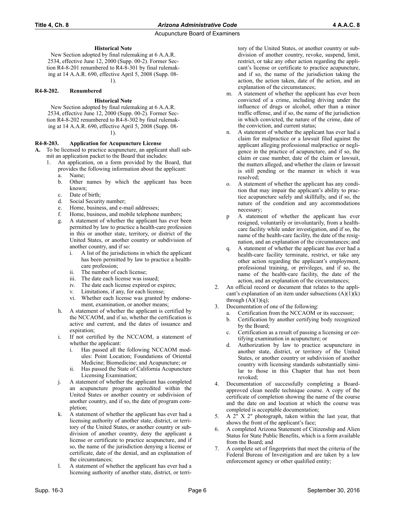## **Historical Note**

New Section adopted by final rulemaking at 6 A.A.R. 2534, effective June 12, 2000 (Supp. 00-2). Former Section R4-8-201 renumbered to R4-8-301 by final rulemaking at 14 A.A.R. 690, effective April 5, 2008 (Supp. 08- 1).

### **R4-8-202. Renumbered**

### **Historical Note**

New Section adopted by final rulemaking at 6 A.A.R. 2534, effective June 12, 2000 (Supp. 00-2). Former Section R4-8-202 renumbered to R4-8-302 by final rulemaking at 14 A.A.R. 690, effective April 5, 2008 (Supp. 08-

1).

#### **R4-8-203. Application for Acupuncture License**

- **A.** To be licensed to practice acupuncture, an applicant shall submit an application packet to the Board that includes:
	- 1. An application, on a form provided by the Board, that provides the following information about the applicant:
		- a. Name;
		- b. Other names by which the applicant has been known;
		- c. Date of birth;
		- d. Social Security number;
		- e. Home, business, and e-mail addresses;
		- f. Home, business, and mobile telephone numbers;
		- g. A statement of whether the applicant has ever been permitted by law to practice a health-care profession in this or another state, territory, or district of the United States, or another country or subdivision of another country, and if so:
			- i. A list of the jurisdictions in which the applicant has been permitted by law to practice a healthcare profession;
			-
			- ii. The number of each license;<br>iii. The date each license was is The date each license was issued;
			- iv. The date each license expired or expires;
			- v. Limitations, if any, for each license;
			- vi. Whether each license was granted by endorsement, examination, or another means;
		- h. A statement of whether the applicant is certified by the NCCAOM, and if so, whether the certification is active and current, and the dates of issuance and expiration;
		- If not certified by the NCCAOM, a statement of whether the applicant:
			- i. Has passed all the following NCCAOM modules: Point Location; Foundations of Oriental Medicine; Biomedicine; and Acupuncture; or
			- ii. Has passed the State of California Acupuncture Licensing Examination;
		- j. A statement of whether the applicant has completed an acupuncture program accredited within the United States or another country or subdivision of another country, and if so, the date of program completion;
		- k. A statement of whether the applicant has ever had a licensing authority of another state, district, or territory of the United States, or another country or subdivision of another country, deny the applicant a license or certificate to practice acupuncture, and if so, the name of the jurisdiction denying a license or certificate, date of the denial, and an explanation of the circumstances;
		- l. A statement of whether the applicant has ever had a licensing authority of another state, district, or terri-

tory of the United States, or another country or subdivision of another country, revoke, suspend, limit, restrict, or take any other action regarding the applicant's license or certificate to practice acupuncture, and if so, the name of the jurisdiction taking the action, the action taken, date of the action, and an explanation of the circumstances;

- m. A statement of whether the applicant has ever been convicted of a crime, including driving under the influence of drugs or alcohol, other than a minor traffic offense, and if so, the name of the jurisdiction in which convicted, the nature of the crime, date of the conviction, and current status;
- n. A statement of whether the applicant has ever had a claim for malpractice or a lawsuit filed against the applicant alleging professional malpractice or negligence in the practice of acupuncture, and if so, the claim or case number, date of the claim or lawsuit, the matters alleged, and whether the claim or lawsuit is still pending or the manner in which it was resolved;
- o. A statement of whether the applicant has any condition that may impair the applicant's ability to practice acupuncture safely and skillfully, and if so, the nature of the condition and any accommodations necessary;
- p A statement of whether the applicant has ever resigned, voluntarily or involuntarily, from a healthcare facility while under investigation, and if so, the name of the health-care facility, the date of the resignation, and an explanation of the circumstances; and
- q. A statement of whether the applicant has ever had a health-care facility terminate, restrict, or take any other action regarding the applicant's employment, professional training, or privileges, and if so, the name of the health-care facility, the date of the action, and an explanation of the circumstances;
- 2. An official record or document that relates to the applicant's explanation of an item under subsections  $(A)(1)(k)$ through  $(A)(1)(q)$ ;
- 3. Documentation of one of the following:
	- a. Certification from the NCCAOM or its successor;
	- b. Certification by another certifying body recognized by the Board;
	- c. Certification as a result of passing a licensing or certifying examination in acupuncture; or
	- d. Authorization by law to practice acupuncture in another state, district, or territory of the United States, or another country or subdivision of another country with licensing standards substantially similar to those in this Chapter that has not been revoked;
- 4. Documentation of successfully completing a Boardapproved clean needle technique course. A copy of the certificate of completion showing the name of the course and the date on and location at which the course was completed is acceptable documentation;
- 5. A 2" X 2" photograph, taken within the last year, that shows the front of the applicant's face;
- 6. A completed Arizona Statement of Citizenship and Alien Status for State Public Benefits, which is a form available from the Board; and
- 7. A complete set of fingerprints that meet the criteria of the Federal Bureau of Investigation and are taken by a law enforcement agency or other qualified entity;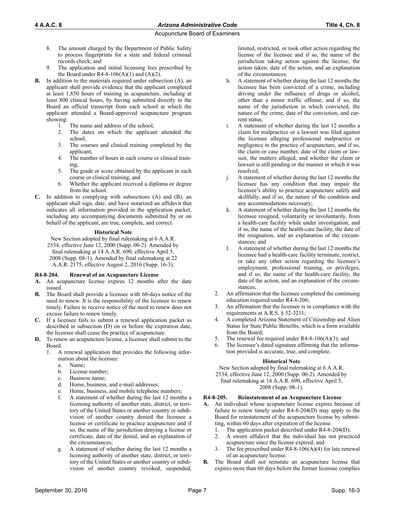- 8. The amount charged by the Department of Public Safety to process fingerprints for a state and federal criminal records check; and
- 9. The application and initial licensing fees prescribed by the Board under R4-8-106(A)(1) and (A)(2).
- **B.** In addition to the materials required under subsection (A), an applicant shall provide evidence that the applicant completed at least 1,850 hours of training in acupuncture, including at least 800 clinical hours, by having submitted directly to the Board an official transcript from each school at which the applicant attended a Board-approved acupuncture program showing:
	- 1. The name and address of the school,
	- 2. The dates on which the applicant attended the school,
	- 3. The courses and clinical training completed by the applicant,
	- 4. The number of hours in each course or clinical training,
	- 5. The grade or score obtained by the applicant in each course or clinical training, and
	- 6. Whether the applicant received a diploma or degree from the school.
- **C.** In addition to complying with subsections (A) and (B), an applicant shall sign, date, and have notarized an affidavit that indicates all information provided in the application packet, including any accompanying documents submitted by or on behalf of the applicant, are true, complete, and correct.

### **Historical Note**

New Section adopted by final rulemaking at 6 A.A.R. 2534, effective June 12, 2000 (Supp. 00-2). Amended by final rulemaking at 14 A.A.R. 690, effective April 5, 2008 (Supp. 08-1). Amended by final rulemaking at 22 A.A.R. 2175, effective August 2, 2016 (Supp. 16-3).

## **R4-8-204. Renewal of an Acupuncture License**

- **A.** An acupuncture license expires 12 months after the date issued.
- **B.** The Board shall provide a licensee with 60-days notice of the need to renew. It is the responsibility of the licensee to renew timely. Failure to receive notice of the need to renew does not excuse failure to renew timely.
- **C.** If a licensee fails to submit a renewal application packet as described in subsection (D) on or before the expiration date, the licensee shall cease the practice of acupuncture.
- **D.** To renew an acupuncture license, a licensee shall submit to the Board:
	- 1. A renewal application that provides the following information about the licensee:
		- a. Name;
		- b. License number;
		- c. Business name;
		- d. Home, business, and e-mail addresses;
		- e. Home, business, and mobile telephone numbers;
		- f. A statement of whether during the last 12 months a licensing authority of another state, district, or territory of the United States or another country or subdivision of another country denied the licensee a license or certificate to practice acupuncture and if so, the name of the jurisdiction denying a license or certificate, date of the denial, and an explanation of the circumstances;
		- g. A statement of whether during the last 12 months a licensing authority of another state, district, or territory of the United States or another country or subdivision of another country revoked, suspended,

limited, restricted, or took other action regarding the license of the licensee and if so, the name of the jurisdiction taking action against the license, the action taken, date of the action, and an explanation of the circumstances;

- h. A statement of whether during the last 12 months the licensee has been convicted of a crime, including driving under the influence of drugs or alcohol, other than a minor traffic offense, and if so, the name of the jurisdiction in which convicted, the nature of the crime, date of the conviction, and current status;
- i. A statement of whether during the last 12 months a claim for malpractice or a lawsuit was filed against the licensee alleging professional malpractice or negligence in the practice of acupuncture, and if so, the claim or case number, date of the claim or lawsuit, the matters alleged, and whether the claim or lawsuit is still pending or the manner in which it was resolved;
- j. A statement of whether during the last 12 months the licensee has any condition that may impair the licensee's ability to practice acupuncture safely and skillfully, and if so, the nature of the condition and any accommodations necessary;
- k. A statement of whether during the last 12 months the licensee resigned, voluntarily or involuntarily, from a health-care facility while under investigation, and if so, the name of the health-care facility, the date of the resignation, and an explanation of the circumstances; and
- l. A statement of whether during the last 12 months the licensee had a health-care facility terminate, restrict, or take any other action regarding the licensee's employment, professional training, or privileges, and if so, the name of the health-care facility, the date of the action, and an explanation of the circumstances;
- 2. An affirmation that the licensee completed the continuing education required under R4-8-206;
- 3. An affirmation that the licensee is in compliance with the requirements at A.R.S. § 32-3211;
- 4. A completed Arizona Statement of Citizenship and Alien Status for State Public Benefits, which is a form available from the Board;
- The renewal fee required under  $R4-8-106(A)(3)$ ; and
- 6. The licensee's dated signature affirming that the information provided is accurate, true, and complete.

### **Historical Note**

New Section adopted by final rulemaking at 6 A.A.R.

2534, effective June 12, 2000 (Supp. 00-2). Amended by final rulemaking at 14 A.A.R. 690, effective April 5,

## 2008 (Supp. 08-1).

## **R4-8-205. Reinstatement of an Acupuncture License**

- **A.** An individual whose acupuncture license expires because of failure to renew timely under R4-8-204(D) may apply to the Board for reinstatement of the acupuncture license by submitting, within 60 days after expiration of the license:
	- 1. The application packet described under R4-8-204(D);
	- 2. A sworn affidavit that the individual has not practiced acupuncture since the license expired; and
	- 3. The fee prescribed under R4-8-106(A)(4) for late renewal of an acupuncture license.
- **B.** The Board shall not reinstate an acupuncture license that expires more than 60 days before the former licensee complies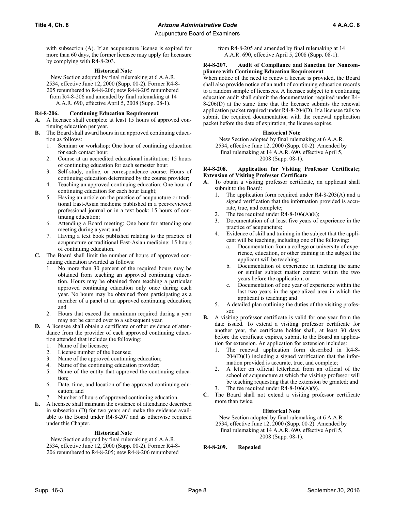with subsection (A). If an acupuncture license is expired for more than 60 days, the former licensee may apply for licensure by complying with R4-8-203.

### **Historical Note**

New Section adopted by final rulemaking at 6 A.A.R. 2534, effective June 12, 2000 (Supp. 00-2). Former R4-8- 205 renumbered to R4-8-206; new R4-8-205 renumbered from R4-8-206 and amended by final rulemaking at 14 A.A.R. 690, effective April 5, 2008 (Supp. 08-1).

### **R4-8-206. Continuing Education Requirement**

- **A.** A licensee shall complete at least 15 hours of approved continuing education per year.
- **B.** The Board shall award hours in an approved continuing education as follows:
	- 1. Seminar or workshop: One hour of continuing education for each contact hour;
	- 2. Course at an accredited educational institution: 15 hours of continuing education for each semester hour;
	- 3. Self-study, online, or correspondence course: Hours of continuing education determined by the course provider;
	- 4. Teaching an approved continuing education: One hour of continuing education for each hour taught;
	- 5. Having an article on the practice of acupuncture or traditional East-Asian medicine published in a peer-reviewed professional journal or in a text book: 15 hours of continuing education;
	- 6. Attending a Board meeting: One hour for attending one meeting during a year; and
	- 7. Having a text book published relating to the practice of acupuncture or traditional East-Asian medicine: 15 hours of continuing education.
- **C.** The Board shall limit the number of hours of approved continuing education awarded as follows:
	- No more than 30 percent of the required hours may be obtained from teaching an approved continuing education. Hours may be obtained from teaching a particular approved continuing education only once during each year. No hours may be obtained from participating as a member of a panel at an approved continuing education; and
	- 2. Hours that exceed the maximum required during a year may not be carried over to a subsequent year.
- **D.** A licensee shall obtain a certificate or other evidence of attendance from the provider of each approved continuing education attended that includes the following:
	- 1. Name of the licensee;
	- 2. License number of the licensee;
	- 3. Name of the approved continuing education;
	- 4. Name of the continuing education provider;
	- 5. Name of the entity that approved the continuing education;
	- 6. Date, time, and location of the approved continuing education; and
	- 7. Number of hours of approved continuing education.
- **E.** A licensee shall maintain the evidence of attendance described in subsection (D) for two years and make the evidence available to the Board under R4-8-207 and as otherwise required under this Chapter.

#### **Historical Note**

New Section adopted by final rulemaking at 6 A.A.R. 2534, effective June 12, 2000 (Supp. 00-2). Former R4-8- 206 renumbered to R4-8-205; new R4-8-206 renumbered

from R4-8-205 and amended by final rulemaking at 14 A.A.R. 690, effective April 5, 2008 (Supp. 08-1).

#### **R4-8-207. Audit of Compliance and Sanction for Noncompliance with Continuing Education Requirement**

When notice of the need to renew a license is provided, the Board shall also provide notice of an audit of continuing education records to a random sample of licensees. A licensee subject to a continuing education audit shall submit the documentation required under R4- 8-206(D) at the same time that the licensee submits the renewal application packet required under R4-8-204(D). If a licensee fails to submit the required documentation with the renewal application packet before the date of expiration, the license expires.

### **Historical Note**

New Section adopted by final rulemaking at 6 A.A.R.

2534, effective June 12, 2000 (Supp. 00-2). Amended by

final rulemaking at 14 A.A.R. 690, effective April 5, 2008 (Supp. 08-1).

#### **R4-8-208. Application for Visiting Professor Certificate; Extension of Visiting Professor Certificate**

- **A.** To obtain a visiting professor certificate, an applicant shall submit to the Board:
	- 1. The application form required under R4-8-203(A) and a signed verification that the information provided is accurate, true, and complete;
	- The fee required under  $R4-8-106(A)(8)$ ;
	- 3. Documentation of at least five years of experience in the practice of acupuncture;
	- Evidence of skill and training in the subject that the applicant will be teaching, including one of the following:
		- a. Documentation from a college or university of experience, education, or other training in the subject the applicant will be teaching;
		- b. Documentation of experience in teaching the same or similar subject matter content within the two years before the application; or
		- c. Documentation of one year of experience within the last two years in the specialized area in which the applicant is teaching; and
	- 5. A detailed plan outlining the duties of the visiting professor.
- **B.** A visiting professor certificate is valid for one year from the date issued. To extend a visiting professor certificate for another year, the certificate holder shall, at least 30 days before the certificate expires, submit to the Board an application for extension. An application for extension includes:
	- 1. The renewal application form described in R4-8-  $204(D)(1)$  including a signed verification that the information provided is accurate, true, and complete;
	- 2. A letter on official letterhead from an official of the school of acupuncture at which the visiting professor will be teaching requesting that the extension be granted; and
	- 3. The fee required under R4-8-106(A)(9).
- **C.** The Board shall not extend a visiting professor certificate more than twice.

## **Historical Note**

New Section adopted by final rulemaking at 6 A.A.R. 2534, effective June 12, 2000 (Supp. 00-2). Amended by

final rulemaking at 14 A.A.R. 690, effective April 5, 2008 (Supp. 08-1).

**R4-8-209. Repealed**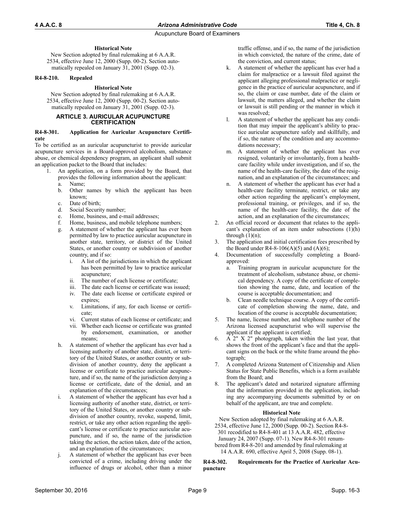## **Historical Note**

New Section adopted by final rulemaking at 6 A.A.R. 2534, effective June 12, 2000 (Supp. 00-2). Section automatically repealed on January 31, 2001 (Supp. 02-3).

## **R4-8-210. Repealed**

## **Historical Note**

New Section adopted by final rulemaking at 6 A.A.R. 2534, effective June 12, 2000 (Supp. 00-2). Section automatically repealed on January 31, 2001 (Supp. 02-3).

#### **ARTICLE 3. AURICULAR ACUPUNCTURE CERTIFICATION**

#### **R4-8-301. Application for Auricular Acupuncture Certificate**

To be certified as an auricular acupuncturist to provide auricular acupuncture services in a Board-approved alcoholism, substance abuse, or chemical dependency program, an applicant shall submit an application packet to the Board that includes:

- 1. An application, on a form provided by the Board, that provides the following information about the applicant:
	- a. Name;
	- b. Other names by which the applicant has been known;
	- c. Date of birth;
	- d. Social Security number;
	- e. Home, business, and e-mail addresses;
	- f. Home, business, and mobile telephone numbers;
	- g. A statement of whether the applicant has ever been permitted by law to practice auricular acupuncture in another state, territory, or district of the United States, or another country or subdivision of another country, and if so:
		- i. A list of the jurisdictions in which the applicant has been permitted by law to practice auricular acupuncture;
		- ii. The number of each license or certificate;
		- iii. The date each license or certificate was issued; iv. The date each license or certificate expired or expires;
		- v. Limitations, if any, for each license or certificate;
		- vi. Current status of each license or certificate; and
		- vii. Whether each license or certificate was granted by endorsement, examination, or another means;
	- h. A statement of whether the applicant has ever had a licensing authority of another state, district, or territory of the United States, or another country or subdivision of another country, deny the applicant a license or certificate to practice auricular acupuncture, and if so, the name of the jurisdiction denying a license or certificate, date of the denial, and an explanation of the circumstances;
	- i. A statement of whether the applicant has ever had a licensing authority of another state, district, or territory of the United States, or another country or subdivision of another country, revoke, suspend, limit, restrict, or take any other action regarding the applicant's license or certificate to practice auricular acupuncture, and if so, the name of the jurisdiction taking the action, the action taken, date of the action, and an explanation of the circumstances;
	- j. A statement of whether the applicant has ever been convicted of a crime, including driving under the influence of drugs or alcohol, other than a minor

traffic offense, and if so, the name of the jurisdiction in which convicted, the nature of the crime, date of the conviction, and current status;

- k. A statement of whether the applicant has ever had a claim for malpractice or a lawsuit filed against the applicant alleging professional malpractice or negligence in the practice of auricular acupuncture, and if so, the claim or case number, date of the claim or lawsuit, the matters alleged, and whether the claim or lawsuit is still pending or the manner in which it was resolved;
- l. A statement of whether the applicant has any condition that may impair the applicant's ability to practice auricular acupuncture safely and skillfully, and if so, the nature of the condition and any accommodations necessary;
- m. A statement of whether the applicant has ever resigned, voluntarily or involuntarily, from a healthcare facility while under investigation, and if so, the name of the health-care facility, the date of the resignation, and an explanation of the circumstances; and
- n. A statement of whether the applicant has ever had a health-care facility terminate, restrict, or take any other action regarding the applicant's employment, professional training, or privileges, and if so, the name of the health-care facility, the date of the action, and an explanation of the circumstances;
- 2. An official record or document that relates to the applicant's explanation of an item under subsections (1)(h) through  $(1)(n)$ ;
- 3. The application and initial certification fees prescribed by the Board under R4-8-106(A)(5) and (A)(6);
- Documentation of successfully completing a Boardapproved:
	- a. Training program in auricular acupuncture for the treatment of alcoholism, substance abuse, or chemical dependency. A copy of the certificate of completion showing the name, date, and location of the course is acceptable documentation; and
	- b. Clean needle technique course. A copy of the certificate of completion showing the name, date, and location of the course is acceptable documentation;
- 5. The name, license number, and telephone number of the Arizona licensed acupuncturist who will supervise the applicant if the applicant is certified;
- 6. A 2" X 2" photograph, taken within the last year, that shows the front of the applicant's face and that the applicant signs on the back or the white frame around the photograph;
- 7. A completed Arizona Statement of Citizenship and Alien Status for State Public Benefits, which is a form available from the Board; and
- The applicant's dated and notarized signature affirming that the information provided in the application, including any accompanying documents submitted by or on behalf of the applicant, are true and complete.

## **Historical Note**

New Section adopted by final rulemaking at 6 A.A.R. 2534, effective June 12, 2000 (Supp. 00-2). Section R4-8- 301 recodified to R4-8-401 at 13 A.A.R. 482, effective January 24, 2007 (Supp. 07-1). New R4-8-301 renumbered from R4-8-201 and amended by final rulemaking at 14 A.A.R. 690, effective April 5, 2008 (Supp. 08-1).

**R4-8-302. Requirements for the Practice of Auricular Acupuncture**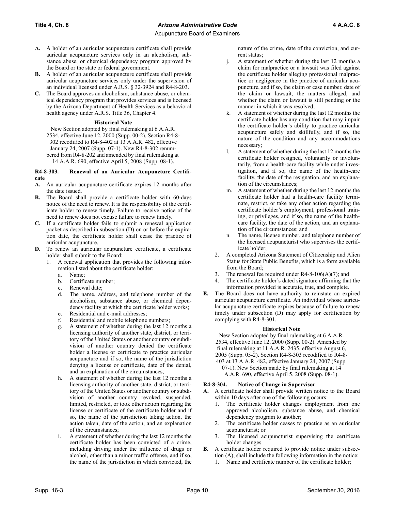- **A.** A holder of an auricular acupuncture certificate shall provide auricular acupuncture services only in an alcoholism, substance abuse, or chemical dependency program approved by the Board or the state or federal government.
- **B.** A holder of an auricular acupuncture certificate shall provide auricular acupuncture services only under the supervision of an individual licensed under A.R.S. § 32-3924 and R4-8-203.
- **C.** The Board approves an alcoholism, substance abuse, or chemical dependency program that provides services and is licensed by the Arizona Department of Health Services as a behavioral health agency under A.R.S. Title 36, Chapter 4.

## **Historical Note**

New Section adopted by final rulemaking at 6 A.A.R. 2534, effective June 12, 2000 (Supp. 00-2). Section R4-8- 302 recodified to R4-8-402 at 13 A.A.R. 482, effective January 24, 2007 (Supp. 07-1). New R4-8-302 renumbered from R4-8-202 and amended by final rulemaking at 14 A.A.R. 690, effective April 5, 2008 (Supp. 08-1).

### **R4-8-303. Renewal of an Auricular Acupuncture Certificate**

- **A.** An auricular acupuncture certificate expires 12 months after the date issued.
- **B.** The Board shall provide a certificate holder with 60-days notice of the need to renew. It is the responsibility of the certificate holder to renew timely. Failure to receive notice of the need to renew does not excuse failure to renew timely.
- **C.** If a certificate holder fails to submit a renewal application packet as described in subsection (D) on or before the expiration date, the certificate holder shall cease the practice of auricular acupuncture.
- **D.** To renew an auricular acupuncture certificate, a certificate holder shall submit to the Board:
	- 1. A renewal application that provides the following information listed about the certificate holder:
		- a. Name;
		- b. Certificate number;
		- c. Renewal date;
		- d. The name, address, and telephone number of the alcoholism, substance abuse, or chemical dependency facility at which the certificate holder works;
		- e. Residential and e-mail addresses;
		- f. Residential and mobile telephone numbers;
		- g. A statement of whether during the last 12 months a licensing authority of another state, district, or territory of the United States or another country or subdivision of another country denied the certificate holder a license or certificate to practice auricular acupuncture and if so, the name of the jurisdiction denying a license or certificate, date of the denial, and an explanation of the circumstances;
		- h. A statement of whether during the last 12 months a licensing authority of another state, district, or territory of the United States or another country or subdivision of another country revoked, suspended, limited, restricted, or took other action regarding the license or certificate of the certificate holder and if so, the name of the jurisdiction taking action, the action taken, date of the action, and an explanation of the circumstances;
		- i. A statement of whether during the last 12 months the certificate holder has been convicted of a crime, including driving under the influence of drugs or alcohol, other than a minor traffic offense, and if so, the name of the jurisdiction in which convicted, the

nature of the crime, date of the conviction, and current status;

- j. A statement of whether during the last 12 months a claim for malpractice or a lawsuit was filed against the certificate holder alleging professional malpractice or negligence in the practice of auricular acupuncture, and if so, the claim or case number, date of the claim or lawsuit, the matters alleged, and whether the claim or lawsuit is still pending or the manner in which it was resolved;
- k. A statement of whether during the last 12 months the certificate holder has any condition that may impair the certificate holder's ability to practice auricular acupuncture safely and skillfully, and if so, the nature of the condition and any accommodations necessary;
- l. A statement of whether during the last 12 months the certificate holder resigned, voluntarily or involuntarily, from a health-care facility while under investigation, and if so, the name of the health-care facility, the date of the resignation, and an explanation of the circumstances;
- m. A statement of whether during the last 12 months the certificate holder had a health-care facility terminate, restrict, or take any other action regarding the certificate holder's employment, professional training, or privileges, and if so, the name of the healthcare facility, the date of the action, and an explanation of the circumstances; and
- n. The name, license number, and telephone number of the licensed acupuncturist who supervises the certificate holder;
- 2. A completed Arizona Statement of Citizenship and Alien Status for State Public Benefits, which is a form available from the Board;
- 3. The renewal fee required under R4-8-106(A)(7); and
- 4. The certificate holder's dated signature affirming that the information provided is accurate, true, and complete.
- **E.** The Board does not have authority to reinstate an expired auricular acupuncture certificate. An individual whose auricular acupuncture certificate expires because of failure to renew timely under subsection (D) may apply for certification by complying with R4-8-301.

## **Historical Note**

New Section adopted by final rulemaking at 6 A.A.R. 2534, effective June 12, 2000 (Supp. 00-2). Amended by final rulemaking at 11 A.A.R. 2435, effective August 6, 2005 (Supp. 05-2). Section R4-8-303 recodified to R4-8- 403 at 13 A.A.R. 482, effective January 24, 2007 (Supp. 07-1). New Section made by final rulemaking at 14 A.A.R. 690, effective April 5, 2008 (Supp. 08-1).

## **R4-8-304. Notice of Change in Supervisor**

- **A.** A certificate holder shall provide written notice to the Board within 10 days after one of the following occurs:
	- 1. The certificate holder changes employment from one approved alcoholism, substance abuse, and chemical dependency program to another;
	- 2. The certificate holder ceases to practice as an auricular acupuncturist; or
	- 3. The licensed acupuncturist supervising the certificate holder changes.
- **B.** A certificate holder required to provide notice under subsection (A), shall include the following information in the notice:
	- Name and certificate number of the certificate holder;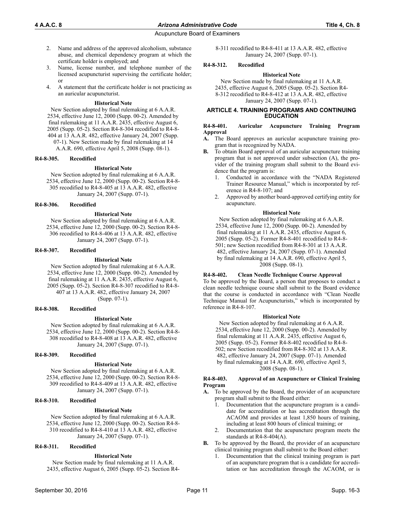- 2. Name and address of the approved alcoholism, substance abuse, and chemical dependency program at which the certificate holder is employed; and
- 3. Name, license number, and telephone number of the licensed acupuncturist supervising the certificate holder; or
- 4. A statement that the certificate holder is not practicing as an auricular acupuncturist.

#### **Historical Note**

New Section adopted by final rulemaking at 6 A.A.R. 2534, effective June 12, 2000 (Supp. 00-2). Amended by final rulemaking at 11 A.A.R. 2435, effective August 6, 2005 (Supp. 05-2). Section R4-8-304 recodified to R4-8- 404 at 13 A.A.R. 482, effective January 24, 2007 (Supp. 07-1). New Section made by final rulemaking at 14

A.A.R. 690, effective April 5, 2008 (Supp. 08-1).

### **R4-8-305. Recodified**

#### **Historical Note**

New Section adopted by final rulemaking at 6 A.A.R. 2534, effective June 12, 2000 (Supp. 00-2). Section R4-8- 305 recodified to R4-8-405 at 13 A.A.R. 482, effective January 24, 2007 (Supp. 07-1).

#### **R4-8-306. Recodified**

#### **Historical Note**

New Section adopted by final rulemaking at 6 A.A.R. 2534, effective June 12, 2000 (Supp. 00-2). Section R4-8- 306 recodified to R4-8-406 at 13 A.A.R. 482, effective January 24, 2007 (Supp. 07-1).

#### **R4-8-307. Recodified**

#### **Historical Note**

New Section adopted by final rulemaking at 6 A.A.R. 2534, effective June 12, 2000 (Supp. 00-2). Amended by final rulemaking at 11 A.A.R. 2435, effective August 6, 2005 (Supp. 05-2). Section R4-8-307 recodified to R4-8- 407 at 13 A.A.R. 482, effective January 24, 2007 (Supp. 07-1).

### **R4-8-308. Recodified**

#### **Historical Note**

New Section adopted by final rulemaking at 6 A.A.R. 2534, effective June 12, 2000 (Supp. 00-2). Section R4-8- 308 recodified to R4-8-408 at 13 A.A.R. 482, effective January 24, 2007 (Supp. 07-1).

### **R4-8-309. Recodified**

#### **Historical Note**

New Section adopted by final rulemaking at 6 A.A.R. 2534, effective June 12, 2000 (Supp. 00-2). Section R4-8- 309 recodified to R4-8-409 at 13 A.A.R. 482, effective January 24, 2007 (Supp. 07-1).

#### **R4-8-310. Recodified**

#### **Historical Note**

New Section adopted by final rulemaking at 6 A.A.R. 2534, effective June 12, 2000 (Supp. 00-2). Section R4-8- 310 recodified to R4-8-410 at 13 A.A.R. 482, effective January 24, 2007 (Supp. 07-1).

## **R4-8-311. Recodified**

#### **Historical Note**

New Section made by final rulemaking at 11 A.A.R. 2435, effective August 6, 2005 (Supp. 05-2). Section R48-311 recodified to R4-8-411 at 13 A.A.R. 482, effective January 24, 2007 (Supp. 07-1).

#### **R4-8-312. Recodified**

#### **Historical Note**

New Section made by final rulemaking at 11 A.A.R. 2435, effective August 6, 2005 (Supp. 05-2). Section R4- 8-312 recodified to R4-8-412 at 13 A.A.R. 482, effective January 24, 2007 (Supp. 07-1).

#### **ARTICLE 4. TRAINING PROGRAMS AND CONTINUING EDUCATION**

#### **R4-8-401. Auricular Acupuncture Training Program Approval**

- **A.** The Board approves an auricular acupuncture training program that is recognized by NADA.
- **B.** To obtain Board approval of an auricular acupuncture training program that is not approved under subsection (A), the provider of the training program shall submit to the Board evidence that the program is:
	- 1. Conducted in accordance with the "NADA Registered Trainer Resource Manual," which is incorporated by reference in R4-8-107; and
	- 2. Approved by another board-approved certifying entity for acupuncture.

#### **Historical Note**

New Section adopted by final rulemaking at 6 A.A.R. 2534, effective June 12, 2000 (Supp. 00-2). Amended by final rulemaking at 11 A.A.R. 2435, effective August 6, 2005 (Supp. 05-2). Former R4-8-401 recodified to R4-8- 501; new Section recodified from R4-8-301 at 13 A.A.R. 482, effective January 24, 2007 (Supp. 07-1). Amended by final rulemaking at 14 A.A.R. 690, effective April 5, 2008 (Supp. 08-1).

## **R4-8-402. Clean Needle Technique Course Approval**

To be approved by the Board, a person that proposes to conduct a clean needle technique course shall submit to the Board evidence that the course is conducted in accordance with "Clean Needle Technique Manual for Acupuncturists," which is incorporated by reference in R4-8-107.

#### **Historical Note**

New Section adopted by final rulemaking at 6 A.A.R. 2534, effective June 12, 2000 (Supp. 00-2). Amended by final rulemaking at 11 A.A.R. 2435, effective August 6, 2005 (Supp. 05-2). Former R4-8-402 recodified to R4-8- 502; new Section recodified from R4-8-302 at 13 A.A.R. 482, effective January 24, 2007 (Supp. 07-1). Amended by final rulemaking at 14 A.A.R. 690, effective April 5, 2008 (Supp. 08-1).

#### **R4-8-403. Approval of an Acupuncture or Clinical Training Program**

- **A.** To be approved by the Board, the provider of an acupuncture program shall submit to the Board either:
	- 1. Documentation that the acupuncture program is a candidate for accreditation or has accreditation through the ACAOM and provides at least 1,850 hours of training, including at least 800 hours of clinical training; or
	- 2. Documentation that the acupuncture program meets the standards at R4-8-404(A).
- **B.** To be approved by the Board, the provider of an acupuncture clinical training program shall submit to the Board either:
	- 1. Documentation that the clinical training program is part of an acupuncture program that is a candidate for accreditation or has accreditation through the ACAOM, or is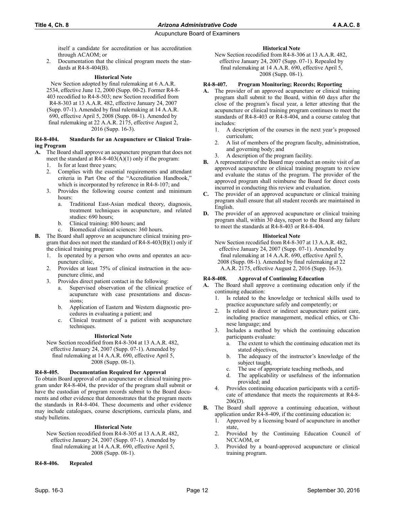itself a candidate for accreditation or has accreditation through ACAOM; or

2. Documentation that the clinical program meets the standards at R4-8-404(B).

## **Historical Note**

New Section adopted by final rulemaking at 6 A.A.R. 2534, effective June 12, 2000 (Supp. 00-2). Former R4-8- 403 recodified to R4-8-503; new Section recodified from R4-8-303 at 13 A.A.R. 482, effective January 24, 2007 (Supp. 07-1). Amended by final rulemaking at 14 A.A.R. 690, effective April 5, 2008 (Supp. 08-1). Amended by final rulemaking at 22 A.A.R. 2175, effective August 2, 2016 (Supp. 16-3).

#### **R4-8-404. Standards for an Acupuncture or Clinical Training Program**

- **A.** The Board shall approve an acupuncture program that does not meet the standard at R4-8-403(A)(1) only if the program:
	- 1. Is for at least three years;
	- 2. Complies with the essential requirements and attendant criteria in Part One of the "Accreditation Handbook," which is incorporated by reference in R4-8-107; and
	- 3. Provides the following course content and minimum hours:
		- a. Traditional East-Asian medical theory, diagnosis, treatment techniques in acupuncture, and related studies: 690 hours;
		- b. Clinical training: 800 hours; and
		- c. Biomedical clinical sciences: 360 hours.
- **B.** The Board shall approve an acupuncture clinical training program that does not meet the standard of R4-8-403(B)(1) only if the clinical training program:
	- 1. Is operated by a person who owns and operates an acupuncture clinic,
	- 2. Provides at least 75% of clinical instruction in the acupuncture clinic, and
	- 3. Provides direct patient contact in the following:
		- a. Supervised observation of the clinical practice of acupuncture with case presentations and discussions;
		- b. Application of Eastern and Western diagnostic procedures in evaluating a patient; and
		- c. Clinical treatment of a patient with acupuncture techniques.

## **Historical Note**

New Section recodified from R4-8-304 at 13 A.A.R. 482, effective January 24, 2007 (Supp. 07-1). Amended by final rulemaking at 14 A.A.R. 690, effective April 5,

2008 (Supp. 08-1).

## **R4-8-405. Documentation Required for Approval**

To obtain Board approval of an acupuncture or clinical training program under R4-8-404, the provider of the program shall submit or have the custodian of program records submit to the Board documents and other evidence that demonstrates that the program meets the standards in R4-8-404. These documents and other evidence may include catalogues, course descriptions, curricula plans, and study bulletins.

## **Historical Note**

New Section recodified from R4-8-305 at 13 A.A.R. 482, effective January 24, 2007 (Supp. 07-1). Amended by final rulemaking at 14 A.A.R. 690, effective April 5, 2008 (Supp. 08-1).

**R4-8-406. Repealed**

### **Historical Note**

New Section recodified from R4-8-306 at 13 A.A.R. 482, effective January 24, 2007 (Supp. 07-1). Repealed by final rulemaking at 14 A.A.R. 690, effective April 5, 2008 (Supp. 08-1).

### **R4-8-407. Program Monitoring; Records; Reporting**

- **A.** The provider of an approved acupuncture or clinical training program shall submit to the Board, within 60 days after the close of the program's fiscal year, a letter attesting that the acupuncture or clinical training program continues to meet the standards of R4-8-403 or R4-8-404, and a course catalog that includes:
	- 1. A description of the courses in the next year's proposed curriculum;
	- 2. A list of members of the program faculty, administration, and governing body; and
	- 3. A description of the program facility.
- **B.** A representative of the Board may conduct an onsite visit of an approved acupuncture or clinical training program to review and evaluate the status of the program. The provider of the approved program shall reimburse the Board for direct costs incurred in conducting this review and evaluation.
- **C.** The provider of an approved acupuncture or clinical training program shall ensure that all student records are maintained in English.
- **D.** The provider of an approved acupuncture or clinical training program shall, within 30 days, report to the Board any failure to meet the standards at R4-8-403 or R4-8-404.

### **Historical Note**

New Section recodified from R4-8-307 at 13 A.A.R. 482, effective January 24, 2007 (Supp. 07-1). Amended by final rulemaking at 14 A.A.R. 690, effective April 5, 2008 (Supp. 08-1). Amended by final rulemaking at 22 A.A.R. 2175, effective August 2, 2016 (Supp. 16-3).

#### **R4-8-408. Approval of Continuing Education**

- **A.** The Board shall approve a continuing education only if the continuing education:
	- 1. Is related to the knowledge or technical skills used to practice acupuncture safely and competently; or
	- 2. Is related to direct or indirect acupuncture patient care, including practice management, medical ethics, or Chinese language; and
	- 3. Includes a method by which the continuing education participants evaluate:
		- a. The extent to which the continuing education met its stated objectives,
		- b. The adequacy of the instructor's knowledge of the subject taught,
		- c. The use of appropriate teaching methods, and
		- d. The applicability or usefulness of the information provided; and
	- 4. Provides continuing education participants with a certificate of attendance that meets the requirements at R4-8- 206(D).
- **B.** The Board shall approve a continuing education, without application under R4-8-409, if the continuing education is:
	- 1. Approved by a licensing board of acupuncture in another state,
	- 2. Provided by the Continuing Education Council of NCCAOM, or
	- 3. Provided by a board-approved acupuncture or clinical training program.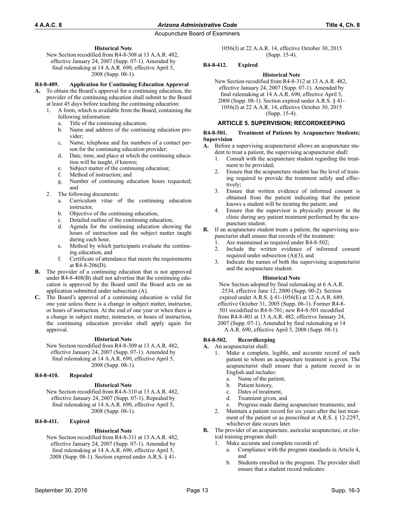### **Historical Note**

New Section recodified from R4-8-308 at 13 A.A.R. 482, effective January 24, 2007 (Supp. 07-1). Amended by final rulemaking at 14 A.A.R. 690, effective April 5, 2008 (Supp. 08-1).

### **R4-8-409. Application for Continuing Education Approval**

- **A.** To obtain the Board's approval for a continuing education, the provider of the continuing education shall submit to the Board at least 45 days before teaching the continuing education:
	- 1. A form, which is available from the Board, containing the following information:
		- a. Title of the continuing education;
		- b. Name and address of the continuing education provider;
		- c. Name, telephone and fax numbers of a contact person for the continuing education provider;
		- d. Date, time, and place at which the continuing education will be taught, if known;
		- e. Subject matter of the continuing education;
		- f. Method of instruction; and
		- g. Number of continuing education hours requested; and
	- The following documents:
		- a. Curriculum vitae of the continuing education instructor,
		- b. Objective of the continuing education,
		- c. Detailed outline of the continuing education,
		- d. Agenda for the continuing education showing the hours of instruction and the subject matter taught during each hour,
		- e. Method by which participants evaluate the continuing education, and
		- f. Certificate of attendance that meets the requirements at R4-8-206(D).
- **B.** The provider of a continuing education that is not approved under R4-8-408(B) shall not advertise that the continuing education is approved by the Board until the Board acts on an application submitted under subsection (A).
- **C.** The Board's approval of a continuing education is valid for one year unless there is a change in subject matter, instructor, or hours of instruction. At the end of one year or when there is a change in subject matter, instructor, or hours of instruction, the continuing education provider shall apply again for approval.

#### **Historical Note**

New Section recodified from R4-8-309 at 13 A.A.R. 482, effective January 24, 2007 (Supp. 07-1). Amended by final rulemaking at 14 A.A.R. 690, effective April 5, 2008 (Supp. 08-1).

#### **R4-8-410. Repealed**

#### **Historical Note**

New Section recodified from R4-8-310 at 13 A.A.R. 482, effective January 24, 2007 (Supp. 07-1). Repealed by final rulemaking at 14 A.A.R. 690, effective April 5, 2008 (Supp. 08-1).

## **R4-8-411. Expired**

## **Historical Note**

New Section recodified from R4-8-311 at 13 A.A.R. 482, effective January 24, 2007 (Supp. 07-1). Amended by final rulemaking at 14 A.A.R. 690, effective April 5, 2008 (Supp. 08-1). Section expired under A.R.S. § 411056(J) at 22 A.A.R. 14, effective October 30, 2015 (Supp. 15-4).

## **R4-8-412. Expired**

#### **Historical Note**

New Section recodified from R4-8-312 at 13 A.A.R. 482, effective January 24, 2007 (Supp. 07-1). Amended by final rulemaking at 14 A.A.R. 690, effective April 5, 2008 (Supp. 08-1). Section expired under A.R.S. § 41- 1056(J) at 22 A.A.R. 14, effective October 30, 2015 (Supp. 15-4).

## **ARTICLE 5. SUPERVISION; RECORDKEEPING**

#### **R4-8-501. Treatment of Patients by Acupuncture Students; Supervision**

- **A.** Before a supervising acupuncturist allows an acupuncture student to treat a patient, the supervising acupuncturist shall:
	- 1. Consult with the acupuncture student regarding the treatment to be provided;
	- Ensure that the acupuncture student has the level of training required to provide the treatment safely and effectively;
	- 3. Ensure that written evidence of informed consent is obtained from the patient indicating that the patient knows a student will be treating the patient; and
	- Ensure that the supervisor is physically present in the clinic during any patient treatment performed by the acupuncture student.
- **B.** If an acupuncture student treats a patient, the supervising acupuncturist shall ensure that records of the treatment:
	- 1. Are maintained as required under R4-8-502;
	- 2. Include the written evidence of informed consent required under subsection (A)(3), and
	- 3. Indicate the names of both the supervising acupuncturist and the acupuncture student.

#### **Historical Note**

New Section adopted by final rulemaking at 6 A.A.R. 2534, effective June 12, 2000 (Supp. 00-2). Section expired under A.R.S. § 41-1056(E) at 12 A.A.R. 689, effective October 31, 2005 (Supp. 06-1). Former R4-8- 501 recodified to R4-8-701; new R4-8-501 recodified from R4-8-401 at 13 A.A.R. 482, effective January 24, 2007 (Supp. 07-1). Amended by final rulemaking at 14 A.A.R. 690, effective April 5, 2008 (Supp. 08-1).

## **R4-8-502. Recordkeeping**

#### **A.** An acupuncturist shall:

- 1. Make a complete, legible, and accurate record of each patient to whom an acupuncture treatment is given. The acupuncturist shall ensure that a patient record is in English and includes:
	- a. Name of the patient,
	- b. Patient history,
	- c. Dates of treatment,
	- d. Treatment given, and
	- e. Progress made during acupuncture treatments; and
- 2. Maintain a patient record for six years after the last treatment of the patient or as prescribed at A.R.S. § 12-2297, whichever date occurs later.
- **B.** The provider of an acupuncture, auricular acupuncture, or clinical training program shall:
	- 1. Make accurate and complete records of:
		- a. Compliance with the program standards in Article 4, and
		- b. Students enrolled in the program. The provider shall ensure that a student record indicates: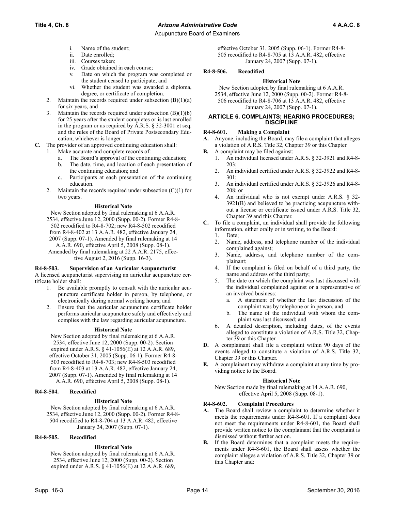## **Title 4, Ch. 8** *Arizona Administrative Code* **4 A.A.C. 8**

- i. Name of the student;
- ii. Date enrolled;
- iii. Courses taken;
- 
- iv. Grade obtained in each course;<br>v. Date on which the program w Date on which the program was completed or the student ceased to participate; and
- vi. Whether the student was awarded a diploma, degree, or certificate of completion.
- 2. Maintain the records required under subsection  $(B)(1)(a)$ for six years, and
- 3. Maintain the records required under subsection (B)(1)(b) for 25 years after the student completes or is last enrolled in the program or as required by A.R.S. § 32-3001 et seq. and the rules of the Board of Private Postsecondary Education, whichever is longer.
- **C.** The provider of an approved continuing education shall:
	- 1. Make accurate and complete records of:
		- a. The Board's approval of the continuing education;
		- b. The date, time, and location of each presentation of the continuing education; and
		- c. Participants at each presentation of the continuing education.
		- 2. Maintain the records required under subsection  $(C)(1)$  for two years.

### **Historical Note**

New Section adopted by final rulemaking at 6 A.A.R. 2534, effective June 12, 2000 (Supp. 00-2). Former R4-8- 502 recodified to R4-8-702; new R4-8-502 recodified from R4-8-402 at 13 A.A.R. 482, effective January 24, 2007 (Supp. 07-1). Amended by final rulemaking at 14 A.A.R. 690, effective April 5, 2008 (Supp. 08-1). Amended by final rulemaking at 22 A.A.R. 2175, effective August 2, 2016 (Supp. 16-3).

#### **R4-8-503. Supervision of an Auricular Acupuncturist**

A licensed acupuncturist supervising an auricular acupuncture certificate holder shall:

- 1. Be available promptly to consult with the auricular acupuncture certificate holder in person, by telephone, or electronically during normal working hours; and
- 2. Ensure that the auricular acupuncture certificate holder performs auricular acupuncture safely and effectively and complies with the law regarding auricular acupuncture.

#### **Historical Note**

New Section adopted by final rulemaking at 6 A.A.R. 2534, effective June 12, 2000 (Supp. 00-2). Section expired under A.R.S. § 41-1056(E) at 12 A.A.R. 689, effective October 31, 2005 (Supp. 06-1). Former R4-8- 503 recodified to R4-8-703; new R4-8-503 recodified from R4-8-403 at 13 A.A.R. 482, effective January 24, 2007 (Supp. 07-1). Amended by final rulemaking at 14 A.A.R. 690, effective April 5, 2008 (Supp. 08-1).

#### **R4-8-504. Recodified**

#### **Historical Note**

New Section adopted by final rulemaking at 6 A.A.R. 2534, effective June 12, 2000 (Supp. 00-2). Former R4-8- 504 recodified to R4-8-704 at 13 A.A.R. 482, effective January 24, 2007 (Supp. 07-1).

#### **R4-8-505. Recodified**

## **Historical Note**

New Section adopted by final rulemaking at 6 A.A.R. 2534, effective June 12, 2000 (Supp. 00-2). Section expired under A.R.S. § 41-1056(E) at 12 A.A.R. 689, effective October 31, 2005 (Supp. 06-1). Former R4-8- 505 recodified to R4-8-705 at 13 A.A.R. 482, effective January 24, 2007 (Supp. 07-1).

#### **R4-8-506. Recodified**

#### **Historical Note**

New Section adopted by final rulemaking at 6 A.A.R. 2534, effective June 12, 2000 (Supp. 00-2). Former R4-8- 506 recodified to R4-8-706 at 13 A.A.R. 482, effective January 24, 2007 (Supp. 07-1).

#### **ARTICLE 6. COMPLAINTS; HEARING PROCEDURES; DISCIPLINE**

#### **R4-8-601. Making a Complaint**

- **A.** Anyone, including the Board, may file a complaint that alleges a violation of A.R.S. Title 32, Chapter 39 or this Chapter.
- **B.** A complaint may be filed against:
	- 1. An individual licensed under A.R.S. § 32-3921 and R4-8- 203;
	- 2. An individual certified under A.R.S. § 32-3922 and R4-8- 301;
	- 3. An individual certified under A.R.S. § 32-3926 and R4-8- 208; or
	- 4. An individual who is not exempt under A.R.S. § 32- 3921(B) and believed to be practicing acupuncture without a license or certificate issued under A.R.S. Title 32, Chapter 39 and this Chapter.
- **C.** To file a complaint, an individual shall provide the following information, either orally or in writing, to the Board:
	- 1. Date;
	- 2. Name, address, and telephone number of the individual complained against;
	- 3. Name, address, and telephone number of the complainant;
	- 4. If the complaint is filed on behalf of a third party, the name and address of the third party;
	- 5. The date on which the complaint was last discussed with the individual complained against or a representative of an involved business:
		- a. A statement of whether the last discussion of the complaint was by telephone or in person, and
		- b. The name of the individual with whom the complaint was last discussed; and
	- 6. A detailed description, including dates, of the events alleged to constitute a violation of A.R.S. Title 32, Chapter 39 or this Chapter.
- **D.** A complainant shall file a complaint within 90 days of the events alleged to constitute a violation of A.R.S. Title 32, Chapter 39 or this Chapter.
- **E.** A complainant may withdraw a complaint at any time by providing notice to the Board.

#### **Historical Note**

New Section made by final rulemaking at 14 A.A.R. 690, effective April 5, 2008 (Supp. 08-1).

#### **R4-8-602. Complaint Procedures**

- **A.** The Board shall review a complaint to determine whether it meets the requirements under R4-8-601. If a complaint does not meet the requirements under R4-8-601, the Board shall provide written notice to the complainant that the complaint is dismissed without further action.
- **B.** If the Board determines that a complaint meets the requirements under R4-8-601, the Board shall assess whether the complaint alleges a violation of A.R.S. Title 32, Chapter 39 or this Chapter and: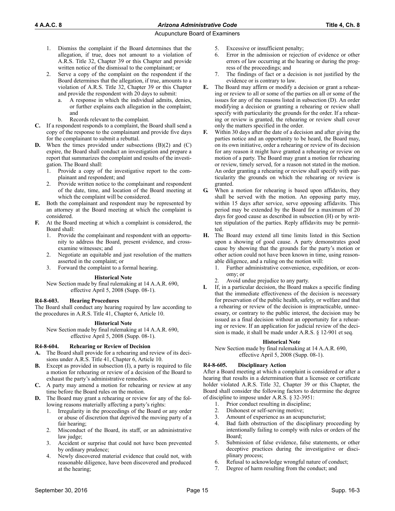- 1. Dismiss the complaint if the Board determines that the allegation, if true, does not amount to a violation of A.R.S. Title 32, Chapter 39 or this Chapter and provide written notice of the dismissal to the complainant; or
- 2. Serve a copy of the complaint on the respondent if the Board determines that the allegation, if true, amounts to a violation of A.R.S. Title 32, Chapter 39 or this Chapter and provide the respondent with 20 days to submit:
	- a. A response in which the individual admits, denies, or further explains each allegation in the complaint; and
	- b. Records relevant to the complaint.
- **C.** If a respondent responds to a complaint, the Board shall send a copy of the response to the complainant and provide five days for the complainant to submit a rebuttal.
- **D.** When the times provided under subsections (B)(2) and (C) expire, the Board shall conduct an investigation and prepare a report that summarizes the complaint and results of the investigation. The Board shall:
	- 1. Provide a copy of the investigative report to the complainant and respondent; and
	- 2. Provide written notice to the complainant and respondent of the date, time, and location of the Board meeting at which the complaint will be considered.
- **E.** Both the complainant and respondent may be represented by an attorney at the Board meeting at which the complaint is considered.
- **F.** At the Board meeting at which a complaint is considered, the Board shall:
	- 1. Provide the complainant and respondent with an opportunity to address the Board, present evidence, and crossexamine witnesses; and
	- 2. Negotiate an equitable and just resolution of the matters asserted in the complaint; or
	- 3. Forward the complaint to a formal hearing.

## **Historical Note**

New Section made by final rulemaking at 14 A.A.R. 690, effective April 5, 2008 (Supp. 08-1).

## **R4-8-603. Hearing Procedures**

The Board shall conduct any hearing required by law according to the procedures in A.R.S. Title 41, Chapter 6, Article 10.

## **Historical Note**

New Section made by final rulemaking at 14 A.A.R. 690, effective April 5, 2008 (Supp. 08-1).

## **R4-8-604. Rehearing or Review of Decision**

- **A.** The Board shall provide for a rehearing and review of its decisions under A.R.S. Title 41, Chapter 6, Article 10.
- **B.** Except as provided in subsection (I), a party is required to file a motion for rehearing or review of a decision of the Board to exhaust the party's administrative remedies.
- **C.** A party may amend a motion for rehearing or review at any time before the Board rules on the motion.
- **D.** The Board may grant a rehearing or review for any of the following reasons materially affecting a party's rights:
	- 1. Irregularity in the proceedings of the Board or any order or abuse of discretion that deprived the moving party of a fair hearing;
	- 2. Misconduct of the Board, its staff, or an administrative law judge;
	- 3. Accident or surprise that could not have been prevented by ordinary prudence;
	- 4. Newly discovered material evidence that could not, with reasonable diligence, have been discovered and produced at the hearing;
- 5. Excessive or insufficient penalty;
- 6. Error in the admission or rejection of evidence or other errors of law occurring at the hearing or during the progress of the proceedings; and
- 7. The findings of fact or a decision is not justified by the evidence or is contrary to law.
- **E.** The Board may affirm or modify a decision or grant a rehearing or review to all or some of the parties on all or some of the issues for any of the reasons listed in subsection (D). An order modifying a decision or granting a rehearing or review shall specify with particularity the grounds for the order. If a rehearing or review is granted, the rehearing or review shall cover only the matters specified in the order.
- **F.** Within 30 days after the date of a decision and after giving the parties notice and an opportunity to be heard, the Board may, on its own initiative, order a rehearing or review of its decision for any reason it might have granted a rehearing or review on motion of a party. The Board may grant a motion for rehearing or review, timely served, for a reason not stated in the motion. An order granting a rehearing or review shall specify with particularity the grounds on which the rehearing or review is granted.
- **G.** When a motion for rehearing is based upon affidavits, they shall be served with the motion. An opposing party may, within 15 days after service, serve opposing affidavits. This period may be extended by the Board for a maximum of 20 days for good cause as described in subsection (H) or by written stipulation of the parties. Reply affidavits may be permitted.
- **H.** The Board may extend all time limits listed in this Section upon a showing of good cause. A party demonstrates good cause by showing that the grounds for the party's motion or other action could not have been known in time, using reasonable diligence, and a ruling on the motion will:
	- 1. Further administrative convenience, expedition, or economy; or
	- Avoid undue prejudice to any party.
- **I.** If, in a particular decision, the Board makes a specific finding that the immediate effectiveness of the decision is necessary for preservation of the public health, safety, or welfare and that a rehearing or review of the decision is impracticable, unnecessary, or contrary to the public interest, the decision may be issued as a final decision without an opportunity for a rehearing or review. If an application for judicial review of the decision is made, it shall be made under A.R.S. § 12-901 et seq.

#### **Historical Note**

New Section made by final rulemaking at 14 A.A.R. 690, effective April 5, 2008 (Supp. 08-1).

## **R4-8-605. Disciplinary Action**

After a Board meeting at which a complaint is considered or after a hearing that results in a determination that a licensee or certificate holder violated A.R.S. Title 32, Chapter 39 or this Chapter, the Board shall consider the following factors to determine the degree of discipline to impose under A.R.S. § 32-3951:

- 1. Prior conduct resulting in discipline;
- 2. Dishonest or self-serving motive;
- 3. Amount of experience as an acupuncturist;
- 4. Bad faith obstruction of the disciplinary proceeding by intentionally failing to comply with rules or orders of the Board;
- 5. Submission of false evidence, false statements, or other deceptive practices during the investigative or disciplinary process;
- 6. Refusal to acknowledge wrongful nature of conduct;
- 7. Degree of harm resulting from the conduct; and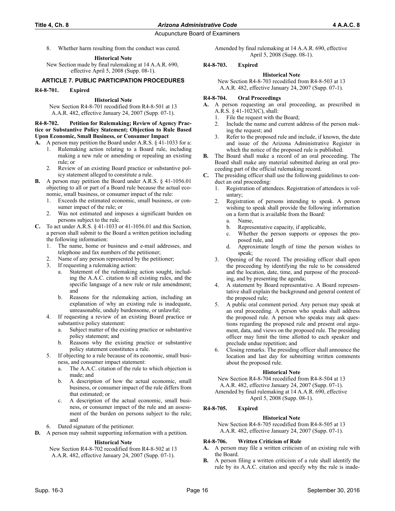8. Whether harm resulting from the conduct was cured.

#### **Historical Note**

New Section made by final rulemaking at 14 A.A.R. 690, effective April 5, 2008 (Supp. 08-1).

## **ARTICLE 7. PUBLIC PARTICIPATION PROCEDURES**

### **R4-8-701. Expired**

## **Historical Note**

New Section R4-8-701 recodified from R4-8-501 at 13 A.A.R. 482, effective January 24, 2007 (Supp. 07-1).

#### **R4-8-702. Petition for Rulemaking; Review of Agency Practice or Substantive Policy Statement; Objection to Rule Based Upon Economic, Small Business, or Consumer Impact**

- **A.** A person may petition the Board under A.R.S. § 41-1033 for a:
	- 1. Rulemaking action relating to a Board rule, including making a new rule or amending or repealing an existing rule; or
	- 2. Review of an existing Board practice or substantive policy statement alleged to constitute a rule.
- **B.** A person may petition the Board under A.R.S. § 41-1056.01 objecting to all or part of a Board rule because the actual economic, small business, or consumer impact of the rule:
	- 1. Exceeds the estimated economic, small business, or consumer impact of the rule; or
	- 2. Was not estimated and imposes a significant burden on persons subject to the rule.
- **C.** To act under A.R.S. § 41-1033 or 41-1056.01 and this Section, a person shall submit to the Board a written petition including the following information:
	- 1. The name, home or business and e-mail addresses, and telephone and fax numbers of the petitioner;
	- Name of any person represented by the petitioner;
	- 3. If requesting a rulemaking action:
		- a. Statement of the rulemaking action sought, including the A.A.C. citation to all existing rules, and the specific language of a new rule or rule amendment; and
		- b. Reasons for the rulemaking action, including an explanation of why an existing rule is inadequate, unreasonable, unduly burdensome, or unlawful;
	- 4. If requesting a review of an existing Board practice or substantive policy statement:
		- Subject matter of the existing practice or substantive policy statement; and
		- b. Reasons why the existing practice or substantive policy statement constitutes a rule.
	- If objecting to a rule because of its economic, small business, and consumer impact statement:
		- a. The A.A.C. citation of the rule to which objection is made; and
		- b. A description of how the actual economic, small business, or consumer impact of the rule differs from that estimated; or
		- c. A description of the actual economic, small business, or consumer impact of the rule and an assessment of the burden on persons subject to the rule; and
	- 6. Dated signature of the petitioner.
- **D.** A person may submit supporting information with a petition.

## **Historical Note**

New Section R4-8-702 recodified from R4-8-502 at 13 A.A.R. 482, effective January 24, 2007 (Supp. 07-1).

Amended by final rulemaking at 14 A.A.R. 690, effective April 5, 2008 (Supp. 08-1).

## **R4-8-703. Expired**

**Historical Note**

New Section R4-8-703 recodified from R4-8-503 at 13 A.A.R. 482, effective January 24, 2007 (Supp. 07-1).

## **R4-8-704. Oral Proceedings**

- **A.** A person requesting an oral proceeding, as prescribed in A.R.S. § 41-1023(C), shall:
	- 1. File the request with the Board;
	- 2. Include the name and current address of the person making the request; and
	- 3. Refer to the proposed rule and include, if known, the date and issue of the Arizona Administrative Register in which the notice of the proposed rule is published.
- **B.** The Board shall make a record of an oral proceeding. The Board shall make any material submitted during an oral proceeding part of the official rulemaking record.
- **C.** The presiding officer shall use the following guidelines to conduct an oral proceeding:
	- 1. Registration of attendees. Registration of attendees is voluntary;
	- 2. Registration of persons intending to speak. A person wishing to speak shall provide the following information on a form that is available from the Board:
		- a. Name,
		- b. Representative capacity, if applicable,
		- c. Whether the person supports or opposes the proposed rule, and
		- d. Approximate length of time the person wishes to speak;
	- 3. Opening of the record. The presiding officer shall open the proceeding by identifying the rule to be considered and the location, date, time, and purpose of the proceeding, and by presenting the agenda;
	- 4. A statement by Board representative. A Board representative shall explain the background and general content of the proposed rule;
	- 5. A public oral comment period. Any person may speak at an oral proceeding. A person who speaks shall address the proposed rule. A person who speaks may ask questions regarding the proposed rule and present oral argument, data, and views on the proposed rule. The presiding officer may limit the time allotted to each speaker and preclude undue repetition; and
	- 6. Closing remarks. The presiding officer shall announce the location and last day for submitting written comments about the proposed rule.

#### **Historical Note**

New Section R4-8-704 recodified from R4-8-504 at 13

A.A.R. 482, effective January 24, 2007 (Supp. 07-1). Amended by final rulemaking at 14 A.A.R. 690, effective

April 5, 2008 (Supp. 08-1).

## **R4-8-705. Expired**

#### **Historical Note**

New Section R4-8-705 recodified from R4-8-505 at 13 A.A.R. 482, effective January 24, 2007 (Supp. 07-1).

## **R4-8-706. Written Criticism of Rule**

- **A.** A person may file a written criticism of an existing rule with the Board.
- **B.** A person filing a written criticism of a rule shall identify the rule by its A.A.C. citation and specify why the rule is inade-